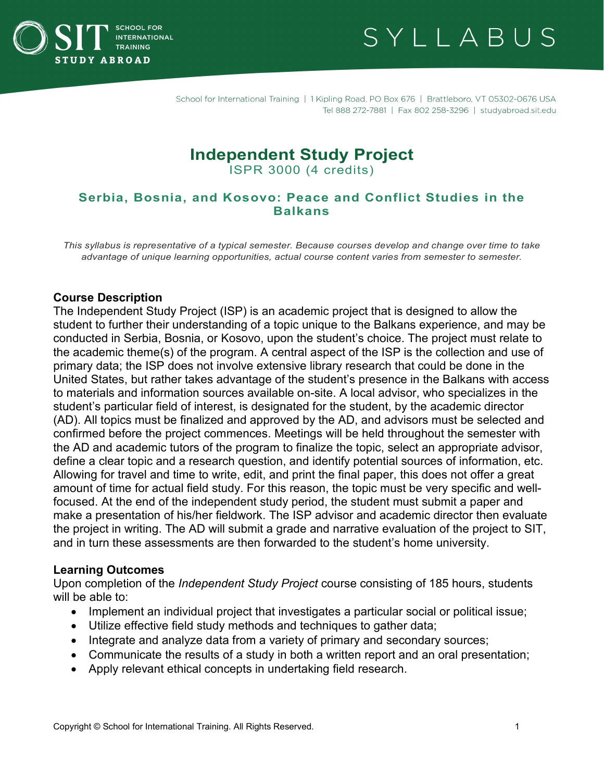

# SYLLABUS

School for International Training | 1 Kipling Road, PO Box 676 | Brattleboro, VT 05302-0676 USA Tel 888 272-7881 | Fax 802 258-3296 | studyabroad.sit.edu

# **Independent Study Project**

ISPR 3000 (4 credits)

#### **Serbia, Bosnia, and Kosovo: Peace and Conflict Studies in the Balkans**

*This syllabus is representative of a typical semester. Because courses develop and change over time to take advantage of unique learning opportunities, actual course content varies from semester to semester.*

#### **Course Description**

The Independent Study Project (ISP) is an academic project that is designed to allow the student to further their understanding of a topic unique to the Balkans experience, and may be conducted in Serbia, Bosnia, or Kosovo, upon the student's choice. The project must relate to the academic theme(s) of the program. A central aspect of the ISP is the collection and use of primary data; the ISP does not involve extensive library research that could be done in the United States, but rather takes advantage of the student's presence in the Balkans with access to materials and information sources available on-site. A local advisor, who specializes in the student's particular field of interest, is designated for the student, by the academic director (AD). All topics must be finalized and approved by the AD, and advisors must be selected and confirmed before the project commences. Meetings will be held throughout the semester with the AD and academic tutors of the program to finalize the topic, select an appropriate advisor, define a clear topic and a research question, and identify potential sources of information, etc. Allowing for travel and time to write, edit, and print the final paper, this does not offer a great amount of time for actual field study. For this reason, the topic must be very specific and wellfocused. At the end of the independent study period, the student must submit a paper and make a presentation of his/her fieldwork. The ISP advisor and academic director then evaluate the project in writing. The AD will submit a grade and narrative evaluation of the project to SIT, and in turn these assessments are then forwarded to the student's home university.

#### **Learning Outcomes**

Upon completion of the *Independent Study Project* course consisting of 185 hours, students will be able to:

- Implement an individual project that investigates a particular social or political issue;
- Utilize effective field study methods and techniques to gather data;
- Integrate and analyze data from a variety of primary and secondary sources;
- Communicate the results of a study in both a written report and an oral presentation;
- Apply relevant ethical concepts in undertaking field research.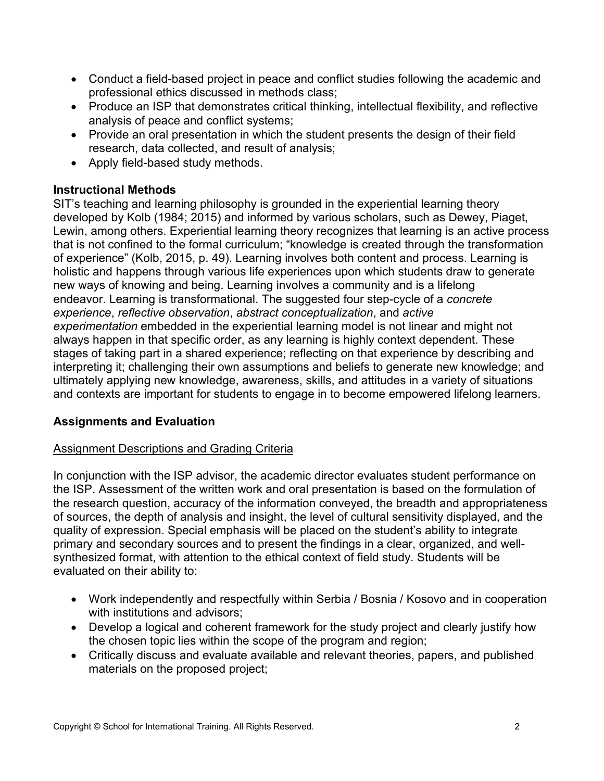- Conduct a field-based project in peace and conflict studies following the academic and professional ethics discussed in methods class;
- Produce an ISP that demonstrates critical thinking, intellectual flexibility, and reflective analysis of peace and conflict systems;
- Provide an oral presentation in which the student presents the design of their field research, data collected, and result of analysis;
- Apply field-based study methods.

#### **Instructional Methods**

SIT's teaching and learning philosophy is grounded in the experiential learning theory developed by Kolb (1984; 2015) and informed by various scholars, such as Dewey, Piaget, Lewin, among others. Experiential learning theory recognizes that learning is an active process that is not confined to the formal curriculum; "knowledge is created through the transformation of experience" (Kolb, 2015, p. 49). Learning involves both content and process. Learning is holistic and happens through various life experiences upon which students draw to generate new ways of knowing and being. Learning involves a community and is a lifelong endeavor. Learning is transformational. The suggested four step-cycle of a *concrete experience*, *reflective observation*, *abstract conceptualization*, and *active experimentation* embedded in the experiential learning model is not linear and might not always happen in that specific order, as any learning is highly context dependent. These stages of taking part in a shared experience; reflecting on that experience by describing and interpreting it; challenging their own assumptions and beliefs to generate new knowledge; and ultimately applying new knowledge, awareness, skills, and attitudes in a variety of situations and contexts are important for students to engage in to become empowered lifelong learners.

# **Assignments and Evaluation**

# Assignment Descriptions and Grading Criteria

In conjunction with the ISP advisor, the academic director evaluates student performance on the ISP. Assessment of the written work and oral presentation is based on the formulation of the research question, accuracy of the information conveyed, the breadth and appropriateness of sources, the depth of analysis and insight, the level of cultural sensitivity displayed, and the quality of expression. Special emphasis will be placed on the student's ability to integrate primary and secondary sources and to present the findings in a clear, organized, and wellsynthesized format, with attention to the ethical context of field study. Students will be evaluated on their ability to:

- Work independently and respectfully within Serbia / Bosnia / Kosovo and in cooperation with institutions and advisors;
- Develop a logical and coherent framework for the study project and clearly justify how the chosen topic lies within the scope of the program and region;
- Critically discuss and evaluate available and relevant theories, papers, and published materials on the proposed project;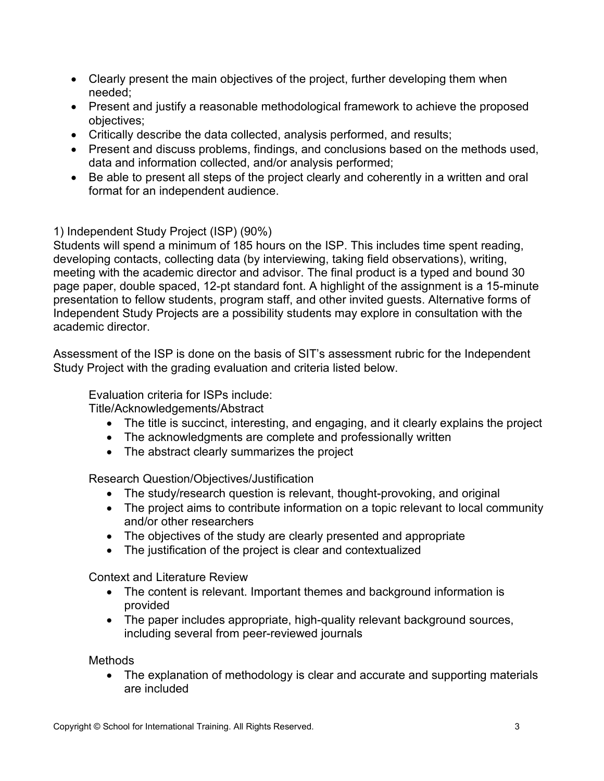- Clearly present the main objectives of the project, further developing them when needed;
- Present and justify a reasonable methodological framework to achieve the proposed objectives;
- Critically describe the data collected, analysis performed, and results;
- Present and discuss problems, findings, and conclusions based on the methods used, data and information collected, and/or analysis performed;
- Be able to present all steps of the project clearly and coherently in a written and oral format for an independent audience.

1) Independent Study Project (ISP) (90%)

Students will spend a minimum of 185 hours on the ISP. This includes time spent reading, developing contacts, collecting data (by interviewing, taking field observations), writing, meeting with the academic director and advisor. The final product is a typed and bound 30 page paper, double spaced, 12-pt standard font. A highlight of the assignment is a 15-minute presentation to fellow students, program staff, and other invited guests. Alternative forms of Independent Study Projects are a possibility students may explore in consultation with the academic director.

Assessment of the ISP is done on the basis of SIT's assessment rubric for the Independent Study Project with the grading evaluation and criteria listed below.

Evaluation criteria for ISPs include:

Title/Acknowledgements/Abstract

- The title is succinct, interesting, and engaging, and it clearly explains the project
- The acknowledgments are complete and professionally written
- The abstract clearly summarizes the project

Research Question/Objectives/Justification

- The study/research question is relevant, thought-provoking, and original
- The project aims to contribute information on a topic relevant to local community and/or other researchers
- The objectives of the study are clearly presented and appropriate
- The justification of the project is clear and contextualized

Context and Literature Review

- The content is relevant. Important themes and background information is provided
- The paper includes appropriate, high-quality relevant background sources, including several from peer-reviewed journals

**Methods** 

• The explanation of methodology is clear and accurate and supporting materials are included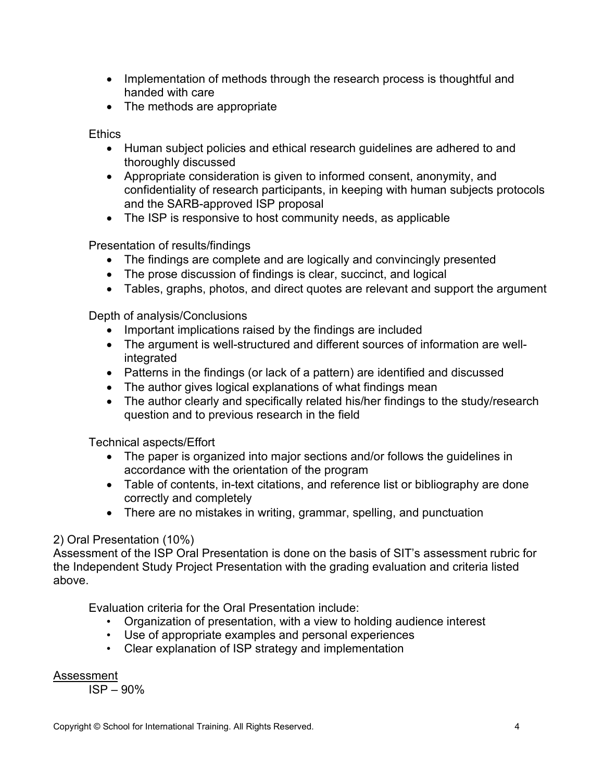- Implementation of methods through the research process is thoughtful and handed with care
- The methods are appropriate

**Ethics** 

- Human subject policies and ethical research guidelines are adhered to and thoroughly discussed
- Appropriate consideration is given to informed consent, anonymity, and confidentiality of research participants, in keeping with human subjects protocols and the SARB-approved ISP proposal
- The ISP is responsive to host community needs, as applicable

Presentation of results/findings

- The findings are complete and are logically and convincingly presented
- The prose discussion of findings is clear, succinct, and logical
- Tables, graphs, photos, and direct quotes are relevant and support the argument

Depth of analysis/Conclusions

- Important implications raised by the findings are included
- The argument is well-structured and different sources of information are wellintegrated
- Patterns in the findings (or lack of a pattern) are identified and discussed
- The author gives logical explanations of what findings mean
- The author clearly and specifically related his/her findings to the study/research question and to previous research in the field

Technical aspects/Effort

- The paper is organized into major sections and/or follows the guidelines in accordance with the orientation of the program
- Table of contents, in-text citations, and reference list or bibliography are done correctly and completely
- There are no mistakes in writing, grammar, spelling, and punctuation

# 2) Oral Presentation (10%)

Assessment of the ISP Oral Presentation is done on the basis of SIT's assessment rubric for the Independent Study Project Presentation with the grading evaluation and criteria listed above.

Evaluation criteria for the Oral Presentation include:

- Organization of presentation, with a view to holding audience interest
- Use of appropriate examples and personal experiences
- Clear explanation of ISP strategy and implementation

# Assessment

ISP – 90%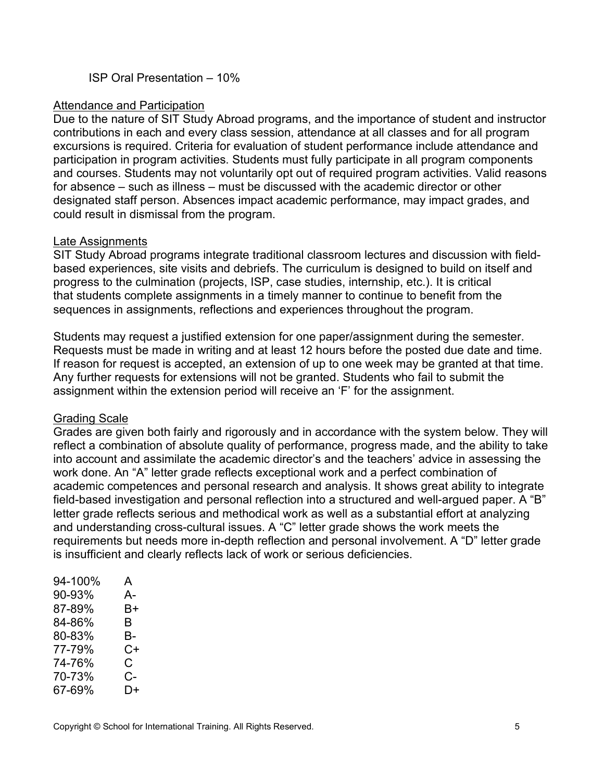ISP Oral Presentation – 10%

#### Attendance and Participation

Due to the nature of SIT Study Abroad programs, and the importance of student and instructor contributions in each and every class session, attendance at all classes and for all program excursions is required. Criteria for evaluation of student performance include attendance and participation in program activities. Students must fully participate in all program components and courses. Students may not voluntarily opt out of required program activities. Valid reasons for absence – such as illness – must be discussed with the academic director or other designated staff person. Absences impact academic performance, may impact grades, and could result in dismissal from the program.

#### Late Assignments

SIT Study Abroad programs integrate traditional classroom lectures and discussion with fieldbased experiences, site visits and debriefs. The curriculum is designed to build on itself and progress to the culmination (projects, ISP, case studies, internship, etc.). It is critical that students complete assignments in a timely manner to continue to benefit from the sequences in assignments, reflections and experiences throughout the program.

Students may request a justified extension for one paper/assignment during the semester. Requests must be made in writing and at least 12 hours before the posted due date and time. If reason for request is accepted, an extension of up to one week may be granted at that time. Any further requests for extensions will not be granted. Students who fail to submit the assignment within the extension period will receive an 'F' for the assignment.

# Grading Scale

Grades are given both fairly and rigorously and in accordance with the system below. They will reflect a combination of absolute quality of performance, progress made, and the ability to take into account and assimilate the academic director's and the teachers' advice in assessing the work done. An "A" letter grade reflects exceptional work and a perfect combination of academic competences and personal research and analysis. It shows great ability to integrate field-based investigation and personal reflection into a structured and well-argued paper. A "B" letter grade reflects serious and methodical work as well as a substantial effort at analyzing and understanding cross-cultural issues. A "C" letter grade shows the work meets the requirements but needs more in-depth reflection and personal involvement. A "D" letter grade is insufficient and clearly reflects lack of work or serious deficiencies.

| А- |
|----|
| B+ |
|    |
| В- |
| C+ |
| C. |
| C- |
| D+ |
|    |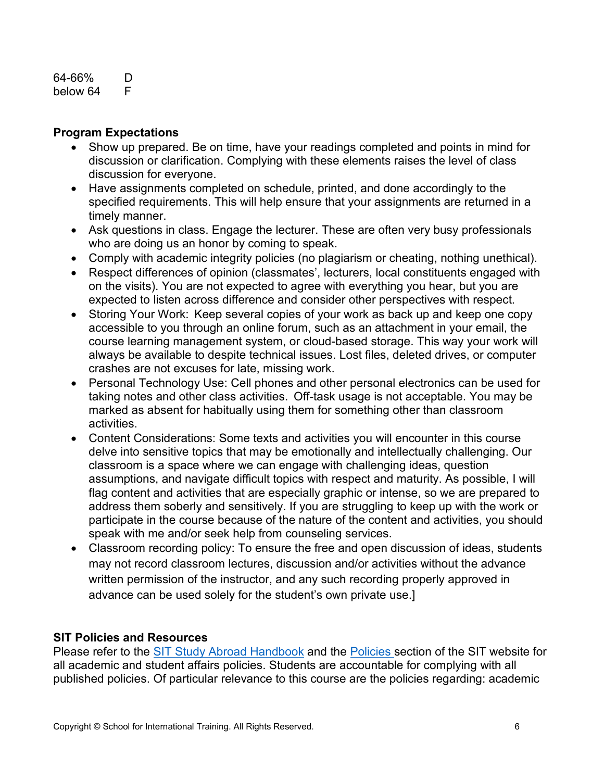#### 64-66% D below 64 F

#### **Program Expectations**

- Show up prepared. Be on time, have your readings completed and points in mind for discussion or clarification. Complying with these elements raises the level of class discussion for everyone.
- Have assignments completed on schedule, printed, and done accordingly to the specified requirements. This will help ensure that your assignments are returned in a timely manner.
- Ask questions in class. Engage the lecturer. These are often very busy professionals who are doing us an honor by coming to speak.
- Comply with academic integrity policies (no plagiarism or cheating, nothing unethical).
- Respect differences of opinion (classmates', lecturers, local constituents engaged with on the visits). You are not expected to agree with everything you hear, but you are expected to listen across difference and consider other perspectives with respect.
- Storing Your Work: Keep several copies of your work as back up and keep one copy accessible to you through an online forum, such as an attachment in your email, the course learning management system, or cloud-based storage. This way your work will always be available to despite technical issues. Lost files, deleted drives, or computer crashes are not excuses for late, missing work.
- Personal Technology Use: Cell phones and other personal electronics can be used for taking notes and other class activities.  Off-task usage is not acceptable. You may be marked as absent for habitually using them for something other than classroom activities.
- Content Considerations: Some texts and activities you will encounter in this course delve into sensitive topics that may be emotionally and intellectually challenging. Our classroom is a space where we can engage with challenging ideas, question assumptions, and navigate difficult topics with respect and maturity. As possible, I will flag content and activities that are especially graphic or intense, so we are prepared to address them soberly and sensitively. If you are struggling to keep up with the work or participate in the course because of the nature of the content and activities, you should speak with me and/or seek help from counseling services.
- Classroom recording policy: To ensure the free and open discussion of ideas, students may not record classroom lectures, discussion and/or activities without the advance written permission of the instructor, and any such recording properly approved in advance can be used solely for the student's own private use.]

#### **SIT Policies and Resources**

Please refer to the [SIT Study Abroad Handbook](https://studyabroad.sit.edu/Student-Handbook/) and the [Policies](https://studyabroad.sit.edu/admitted-students/policies/) section of the SIT website for all academic and student affairs policies. Students are accountable for complying with all published policies. Of particular relevance to this course are the policies regarding: academic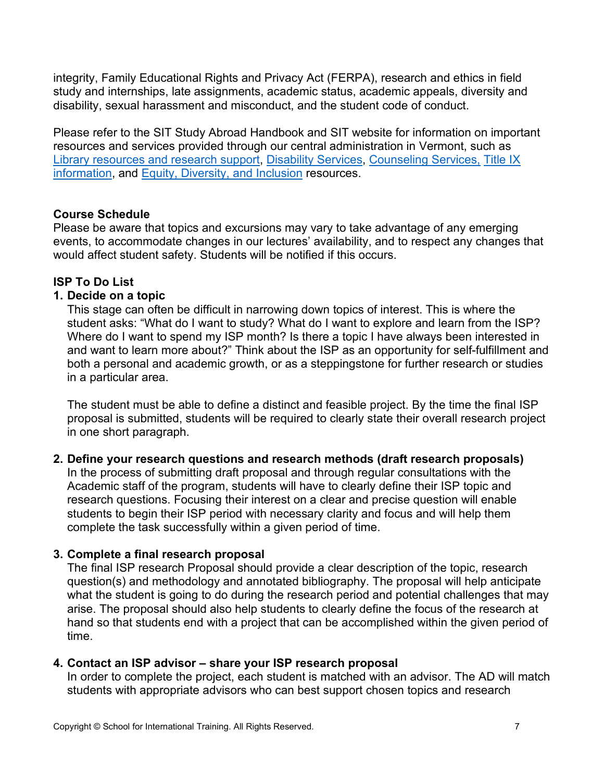integrity, Family Educational Rights and Privacy Act (FERPA), research and ethics in field study and internships, late assignments, academic status, academic appeals, diversity and disability, sexual harassment and misconduct, and the student code of conduct.

Please refer to the SIT Study Abroad Handbook and SIT website for information on important resources and services provided through our central administration in Vermont, such as [Library resources and research support,](https://studyabroad.sit.edu/admitted-students/student-resources/) [Disability Services,](https://studyabroad.sit.edu/health-safety-and-well-being/disability-services/) [Counseling Services,](https://studyabroad.sit.edu/health-safety-and-well-being/counseling-and-mental-health/) [Title IX](https://studyabroad.sit.edu/health-safety-and-well-being/sexual-safety-title-ix/)  [information,](https://studyabroad.sit.edu/health-safety-and-well-being/sexual-safety-title-ix/) and [Equity, Diversity, and Inclusion](https://studyabroad.sit.edu/health-safety-and-well-being/social-identity/) resources.

#### **Course Schedule**

Please be aware that topics and excursions may vary to take advantage of any emerging events, to accommodate changes in our lectures' availability, and to respect any changes that would affect student safety. Students will be notified if this occurs.

# **ISP To Do List**

#### **1. Decide on a topic**

This stage can often be difficult in narrowing down topics of interest. This is where the student asks: "What do I want to study? What do I want to explore and learn from the ISP? Where do I want to spend my ISP month? Is there a topic I have always been interested in and want to learn more about?" Think about the ISP as an opportunity for self-fulfillment and both a personal and academic growth, or as a steppingstone for further research or studies in a particular area.

The student must be able to define a distinct and feasible project. By the time the final ISP proposal is submitted, students will be required to clearly state their overall research project in one short paragraph.

#### **2. Define your research questions and research methods (draft research proposals)**

In the process of submitting draft proposal and through regular consultations with the Academic staff of the program, students will have to clearly define their ISP topic and research questions. Focusing their interest on a clear and precise question will enable students to begin their ISP period with necessary clarity and focus and will help them complete the task successfully within a given period of time.

# **3. Complete a final research proposal**

The final ISP research Proposal should provide a clear description of the topic, research question(s) and methodology and annotated bibliography. The proposal will help anticipate what the student is going to do during the research period and potential challenges that may arise. The proposal should also help students to clearly define the focus of the research at hand so that students end with a project that can be accomplished within the given period of time.

# **4. Contact an ISP advisor – share your ISP research proposal**

In order to complete the project, each student is matched with an advisor. The AD will match students with appropriate advisors who can best support chosen topics and research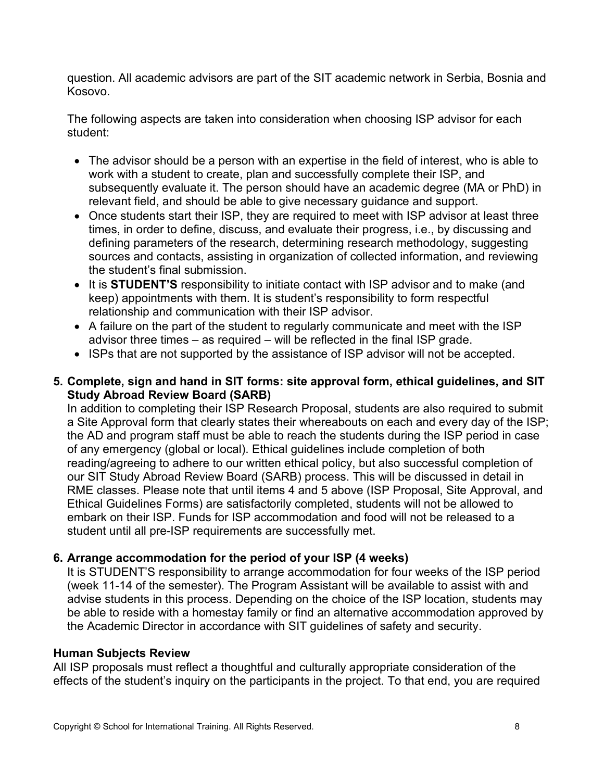question. All academic advisors are part of the SIT academic network in Serbia, Bosnia and Kosovo.

The following aspects are taken into consideration when choosing ISP advisor for each student:

- The advisor should be a person with an expertise in the field of interest, who is able to work with a student to create, plan and successfully complete their ISP, and subsequently evaluate it. The person should have an academic degree (MA or PhD) in relevant field, and should be able to give necessary guidance and support.
- Once students start their ISP, they are required to meet with ISP advisor at least three times, in order to define, discuss, and evaluate their progress, i.e., by discussing and defining parameters of the research, determining research methodology, suggesting sources and contacts, assisting in organization of collected information, and reviewing the student's final submission.
- It is **STUDENT'S** responsibility to initiate contact with ISP advisor and to make (and keep) appointments with them. It is student's responsibility to form respectful relationship and communication with their ISP advisor.
- A failure on the part of the student to regularly communicate and meet with the ISP advisor three times – as required – will be reflected in the final ISP grade.
- ISPs that are not supported by the assistance of ISP advisor will not be accepted.

# **5. Complete, sign and hand in SIT forms: site approval form, ethical guidelines, and SIT Study Abroad Review Board (SARB)**

In addition to completing their ISP Research Proposal, students are also required to submit a Site Approval form that clearly states their whereabouts on each and every day of the ISP; the AD and program staff must be able to reach the students during the ISP period in case of any emergency (global or local). Ethical guidelines include completion of both reading/agreeing to adhere to our written ethical policy, but also successful completion of our SIT Study Abroad Review Board (SARB) process. This will be discussed in detail in RME classes. Please note that until items 4 and 5 above (ISP Proposal, Site Approval, and Ethical Guidelines Forms) are satisfactorily completed, students will not be allowed to embark on their ISP. Funds for ISP accommodation and food will not be released to a student until all pre-ISP requirements are successfully met.

# **6. Arrange accommodation for the period of your ISP (4 weeks)**

It is STUDENT'S responsibility to arrange accommodation for four weeks of the ISP period (week 11-14 of the semester). The Program Assistant will be available to assist with and advise students in this process. Depending on the choice of the ISP location, students may be able to reside with a homestay family or find an alternative accommodation approved by the Academic Director in accordance with SIT guidelines of safety and security.

# **Human Subjects Review**

All ISP proposals must reflect a thoughtful and culturally appropriate consideration of the effects of the student's inquiry on the participants in the project. To that end, you are required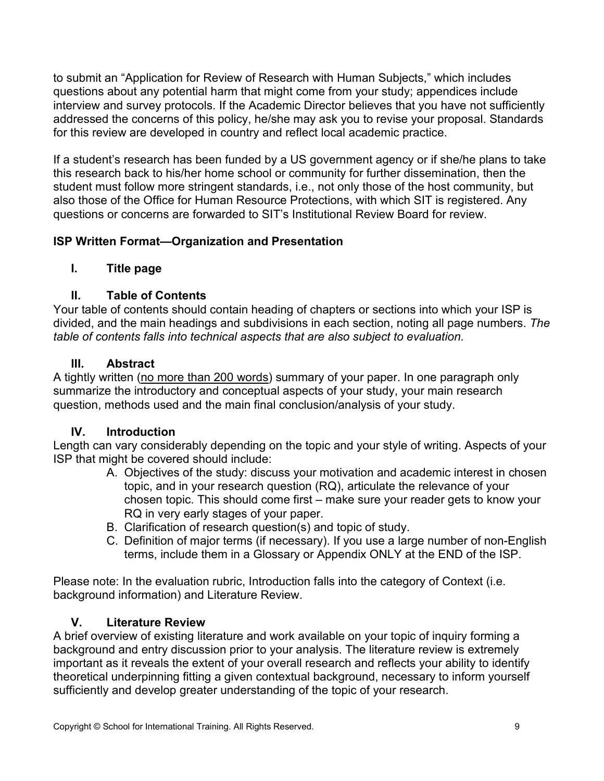to submit an "Application for Review of Research with Human Subjects," which includes questions about any potential harm that might come from your study; appendices include interview and survey protocols. If the Academic Director believes that you have not sufficiently addressed the concerns of this policy, he/she may ask you to revise your proposal. Standards for this review are developed in country and reflect local academic practice.

If a student's research has been funded by a US government agency or if she/he plans to take this research back to his/her home school or community for further dissemination, then the student must follow more stringent standards, i.e., not only those of the host community, but also those of the Office for Human Resource Protections, with which SIT is registered. Any questions or concerns are forwarded to SIT's Institutional Review Board for review.

# **ISP Written Format—Organization and Presentation**

# **I. Title page**

# **II. Table of Contents**

Your table of contents should contain heading of chapters or sections into which your ISP is divided, and the main headings and subdivisions in each section, noting all page numbers. *The table of contents falls into technical aspects that are also subject to evaluation.*

# **III. Abstract**

A tightly written (no more than 200 words) summary of your paper. In one paragraph only summarize the introductory and conceptual aspects of your study, your main research question, methods used and the main final conclusion/analysis of your study.

# **IV. Introduction**

Length can vary considerably depending on the topic and your style of writing. Aspects of your ISP that might be covered should include:

- A. Objectives of the study: discuss your motivation and academic interest in chosen topic, and in your research question (RQ), articulate the relevance of your chosen topic. This should come first – make sure your reader gets to know your RQ in very early stages of your paper.
- B. Clarification of research question(s) and topic of study.
- C. Definition of major terms (if necessary). If you use a large number of non-English terms, include them in a Glossary or Appendix ONLY at the END of the ISP.

Please note: In the evaluation rubric, Introduction falls into the category of Context (i.e. background information) and Literature Review.

# **V. Literature Review**

A brief overview of existing literature and work available on your topic of inquiry forming a background and entry discussion prior to your analysis. The literature review is extremely important as it reveals the extent of your overall research and reflects your ability to identify theoretical underpinning fitting a given contextual background, necessary to inform yourself sufficiently and develop greater understanding of the topic of your research.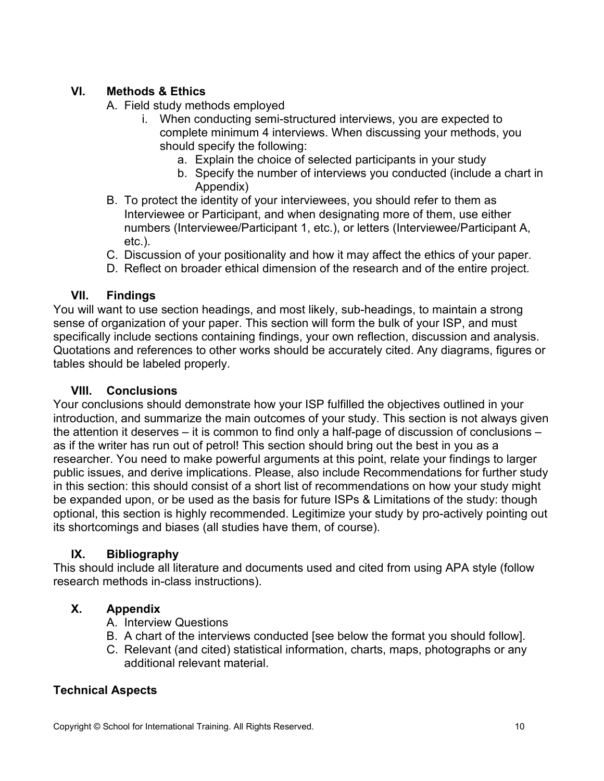# **VI. Methods & Ethics**

- A. Field study methods employed
	- i. When conducting semi-structured interviews, you are expected to complete minimum 4 interviews. When discussing your methods, you should specify the following:
		- a. Explain the choice of selected participants in your study
		- b. Specify the number of interviews you conducted (include a chart in Appendix)
- B. To protect the identity of your interviewees, you should refer to them as Interviewee or Participant, and when designating more of them, use either numbers (Interviewee/Participant 1, etc.), or letters (Interviewee/Participant A, etc.).
- C. Discussion of your positionality and how it may affect the ethics of your paper.
- D. Reflect on broader ethical dimension of the research and of the entire project.

# **VII. Findings**

You will want to use section headings, and most likely, sub-headings, to maintain a strong sense of organization of your paper. This section will form the bulk of your ISP, and must specifically include sections containing findings, your own reflection, discussion and analysis. Quotations and references to other works should be accurately cited. Any diagrams, figures or tables should be labeled properly.

# **VIII. Conclusions**

Your conclusions should demonstrate how your ISP fulfilled the objectives outlined in your introduction, and summarize the main outcomes of your study. This section is not always given the attention it deserves – it is common to find only a half-page of discussion of conclusions – as if the writer has run out of petrol! This section should bring out the best in you as a researcher. You need to make powerful arguments at this point, relate your findings to larger public issues, and derive implications. Please, also include Recommendations for further study in this section: this should consist of a short list of recommendations on how your study might be expanded upon, or be used as the basis for future ISPs & Limitations of the study: though optional, this section is highly recommended. Legitimize your study by pro-actively pointing out its shortcomings and biases (all studies have them, of course).

# **IX. Bibliography**

This should include all literature and documents used and cited from using APA style (follow research methods in-class instructions).

# **X. Appendix**

- A. Interview Questions
- B. A chart of the interviews conducted [see below the format you should follow].
- C. Relevant (and cited) statistical information, charts, maps, photographs or any additional relevant material.

# **Technical Aspects**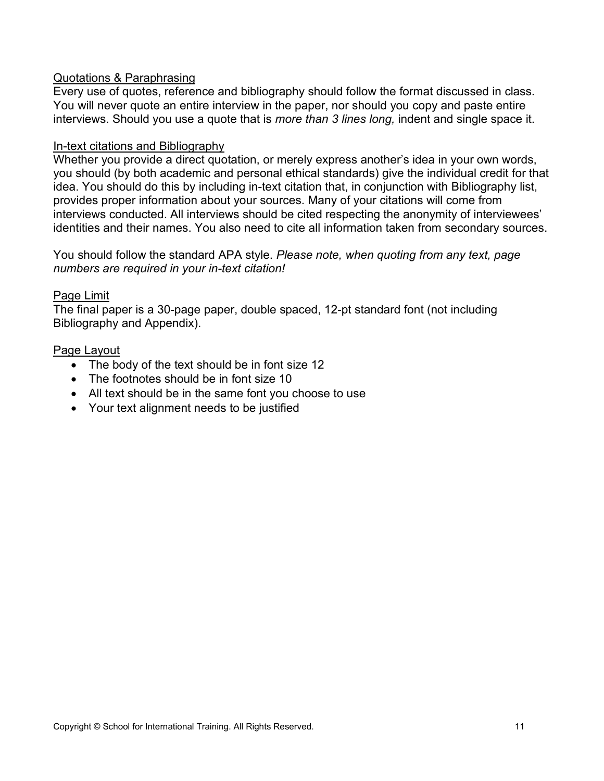#### Quotations & Paraphrasing

Every use of quotes, reference and bibliography should follow the format discussed in class. You will never quote an entire interview in the paper, nor should you copy and paste entire interviews. Should you use a quote that is *more than 3 lines long,* indent and single space it.

#### In-text citations and Bibliography

Whether you provide a direct quotation, or merely express another's idea in your own words, you should (by both academic and personal ethical standards) give the individual credit for that idea. You should do this by including in-text citation that, in conjunction with Bibliography list, provides proper information about your sources. Many of your citations will come from interviews conducted. All interviews should be cited respecting the anonymity of interviewees' identities and their names. You also need to cite all information taken from secondary sources.

#### You should follow the standard APA style. *Please note, when quoting from any text, page numbers are required in your in-text citation!*

#### Page Limit

The final paper is a 30-page paper, double spaced, 12-pt standard font (not including Bibliography and Appendix).

#### Page Layout

- The body of the text should be in font size 12
- The footnotes should be in font size 10
- All text should be in the same font you choose to use
- Your text alignment needs to be justified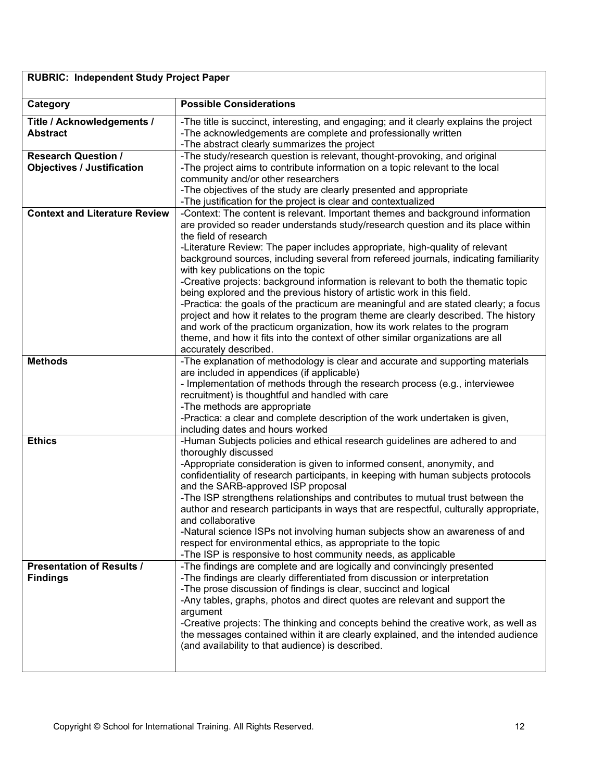# **RUBRIC: Independent Study Project Paper**

| Category                               | <b>Possible Considerations</b>                                                                                                                                                                          |
|----------------------------------------|---------------------------------------------------------------------------------------------------------------------------------------------------------------------------------------------------------|
| Title / Acknowledgements /<br>Abstract | -The title is succinct, interesting, and engaging; and it clearly explains the project<br>-The acknowledgements are complete and professionally written<br>-The abstract clearly summarizes the project |
| <b>Research Question /</b>             | -The study/research question is relevant, thought-provoking, and original                                                                                                                               |
| <b>Objectives / Justification</b>      | -The project aims to contribute information on a topic relevant to the local                                                                                                                            |
|                                        | community and/or other researchers                                                                                                                                                                      |
|                                        | -The objectives of the study are clearly presented and appropriate<br>-The justification for the project is clear and contextualized                                                                    |
| <b>Context and Literature Review</b>   | -Context: The content is relevant. Important themes and background information<br>are provided so reader understands study/research question and its place within                                       |
|                                        | the field of research                                                                                                                                                                                   |
|                                        | -Literature Review: The paper includes appropriate, high-quality of relevant                                                                                                                            |
|                                        | background sources, including several from refereed journals, indicating familiarity                                                                                                                    |
|                                        | with key publications on the topic                                                                                                                                                                      |
|                                        | -Creative projects: background information is relevant to both the thematic topic                                                                                                                       |
|                                        | being explored and the previous history of artistic work in this field.                                                                                                                                 |
|                                        | -Practica: the goals of the practicum are meaningful and are stated clearly; a focus                                                                                                                    |
|                                        | project and how it relates to the program theme are clearly described. The history                                                                                                                      |
|                                        | and work of the practicum organization, how its work relates to the program                                                                                                                             |
|                                        | theme, and how it fits into the context of other similar organizations are all                                                                                                                          |
|                                        | accurately described.                                                                                                                                                                                   |
| <b>Methods</b>                         | -The explanation of methodology is clear and accurate and supporting materials                                                                                                                          |
|                                        | are included in appendices (if applicable)                                                                                                                                                              |
|                                        | - Implementation of methods through the research process (e.g., interviewee                                                                                                                             |
|                                        | recruitment) is thoughtful and handled with care                                                                                                                                                        |
|                                        | -The methods are appropriate<br>-Practica: a clear and complete description of the work undertaken is given,                                                                                            |
|                                        | including dates and hours worked                                                                                                                                                                        |
| <b>Ethics</b>                          | -Human Subjects policies and ethical research guidelines are adhered to and                                                                                                                             |
|                                        | thoroughly discussed                                                                                                                                                                                    |
|                                        | -Appropriate consideration is given to informed consent, anonymity, and                                                                                                                                 |
|                                        | confidentiality of research participants, in keeping with human subjects protocols                                                                                                                      |
|                                        | and the SARB-approved ISP proposal                                                                                                                                                                      |
|                                        | -The ISP strengthens relationships and contributes to mutual trust between the                                                                                                                          |
|                                        | author and research participants in ways that are respectful, culturally appropriate,                                                                                                                   |
|                                        | and collaborative                                                                                                                                                                                       |
|                                        | -Natural science ISPs not involving human subjects show an awareness of and                                                                                                                             |
|                                        | respect for environmental ethics, as appropriate to the topic                                                                                                                                           |
|                                        | -The ISP is responsive to host community needs, as applicable                                                                                                                                           |
| <b>Presentation of Results /</b>       | -The findings are complete and are logically and convincingly presented                                                                                                                                 |
| <b>Findings</b>                        | -The findings are clearly differentiated from discussion or interpretation                                                                                                                              |
|                                        | -The prose discussion of findings is clear, succinct and logical                                                                                                                                        |
|                                        | -Any tables, graphs, photos and direct quotes are relevant and support the                                                                                                                              |
|                                        | argument                                                                                                                                                                                                |
|                                        | -Creative projects: The thinking and concepts behind the creative work, as well as                                                                                                                      |
|                                        | the messages contained within it are clearly explained, and the intended audience                                                                                                                       |
|                                        | (and availability to that audience) is described.                                                                                                                                                       |
|                                        |                                                                                                                                                                                                         |
|                                        |                                                                                                                                                                                                         |